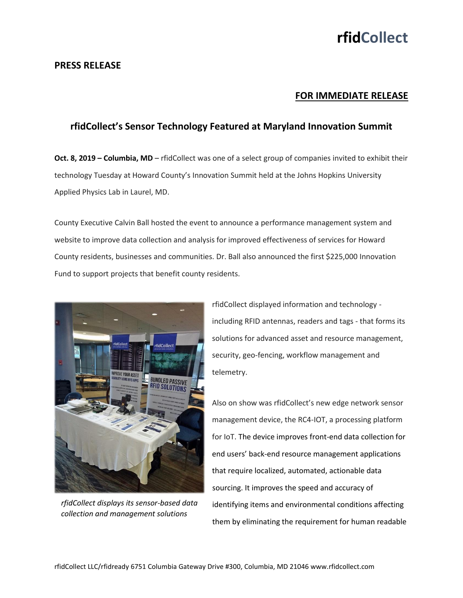# **rfidCollect**

### **PRESS RELEASE**

### **FOR IMMEDIATE RELEASE**

## **rfidCollect's Sensor Technology Featured at Maryland Innovation Summit**

**Oct. 8, 2019 – Columbia, MD** – rfidCollect was one of a select group of companies invited to exhibit their technology Tuesday at Howard County's Innovation Summit held at the Johns Hopkins University Applied Physics Lab in Laurel, MD.

County Executive Calvin Ball hosted the event to announce a performance management system and website to improve data collection and analysis for improved effectiveness of services for Howard County residents, businesses and communities. Dr. Ball also announced the first \$225,000 Innovation Fund to support projects that benefit county residents.



*rfidCollect displays its sensor-based data collection and management solutions*

rfidCollect displayed information and technology including RFID antennas, readers and tags - that forms its solutions for advanced asset and resource management, security, geo-fencing, workflow management and telemetry.

Also on show was rfidCollect's new edge network sensor management device, the RC4-IOT, a processing platform for IoT. The device improves front-end data collection for end users' back-end resource management applications that require localized, automated, actionable data sourcing. It improves the speed and accuracy of identifying items and environmental conditions affecting them by eliminating the requirement for human readable